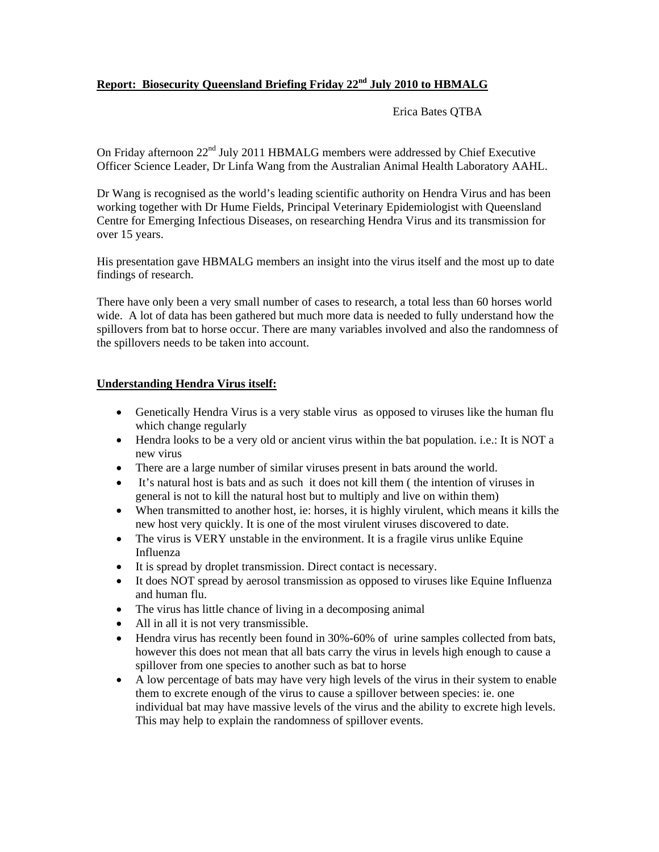# **Report: Biosecurity Queensland Briefing Friday 22nd July 2010 to HBMALG**

Erica Bates QTBA

On Friday afternoon 22<sup>nd</sup> July 2011 HBMALG members were addressed by Chief Executive Officer Science Leader, Dr Linfa Wang from the Australian Animal Health Laboratory AAHL.

Dr Wang is recognised as the world's leading scientific authority on Hendra Virus and has been working together with Dr Hume Fields, Principal Veterinary Epidemiologist with Queensland Centre for Emerging Infectious Diseases, on researching Hendra Virus and its transmission for over 15 years.

His presentation gave HBMALG members an insight into the virus itself and the most up to date findings of research.

There have only been a very small number of cases to research, a total less than 60 horses world wide. A lot of data has been gathered but much more data is needed to fully understand how the spillovers from bat to horse occur. There are many variables involved and also the randomness of the spillovers needs to be taken into account.

### **Understanding Hendra Virus itself:**

- Genetically Hendra Virus is a very stable virus as opposed to viruses like the human flu which change regularly
- Hendra looks to be a very old or ancient virus within the bat population. i.e.: It is NOT a new virus
- There are a large number of similar viruses present in bats around the world.
- It's natural host is bats and as such it does not kill them ( the intention of viruses in general is not to kill the natural host but to multiply and live on within them)
- When transmitted to another host, ie: horses, it is highly virulent, which means it kills the new host very quickly. It is one of the most virulent viruses discovered to date.
- The virus is VERY unstable in the environment. It is a fragile virus unlike Equine Influenza
- It is spread by droplet transmission. Direct contact is necessary.
- It does NOT spread by aerosol transmission as opposed to viruses like Equine Influenza and human flu.
- The virus has little chance of living in a decomposing animal
- All in all it is not very transmissible.
- Hendra virus has recently been found in 30%-60% of urine samples collected from bats, however this does not mean that all bats carry the virus in levels high enough to cause a spillover from one species to another such as bat to horse
- A low percentage of bats may have very high levels of the virus in their system to enable them to excrete enough of the virus to cause a spillover between species: ie. one individual bat may have massive levels of the virus and the ability to excrete high levels. This may help to explain the randomness of spillover events.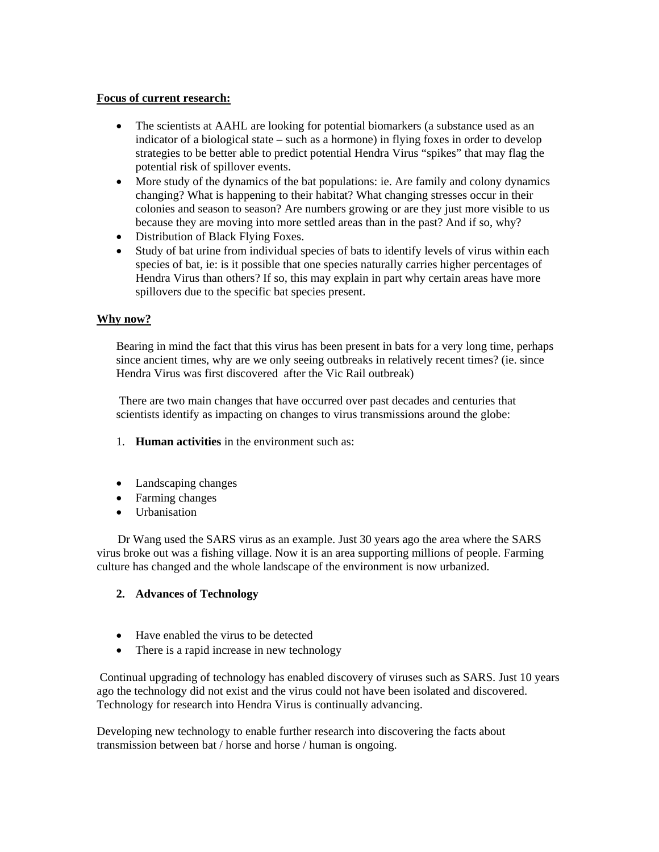### **Focus of current research:**

- The scientists at AAHL are looking for potential biomarkers (a substance used as an indicator of a biological state – such as a hormone) in flying foxes in order to develop strategies to be better able to predict potential Hendra Virus "spikes" that may flag the potential risk of spillover events.
- More study of the dynamics of the bat populations: ie. Are family and colony dynamics changing? What is happening to their habitat? What changing stresses occur in their colonies and season to season? Are numbers growing or are they just more visible to us because they are moving into more settled areas than in the past? And if so, why?
- Distribution of Black Flying Foxes.
- Study of bat urine from individual species of bats to identify levels of virus within each species of bat, ie: is it possible that one species naturally carries higher percentages of Hendra Virus than others? If so, this may explain in part why certain areas have more spillovers due to the specific bat species present.

## **Why now?**

Bearing in mind the fact that this virus has been present in bats for a very long time, perhaps since ancient times, why are we only seeing outbreaks in relatively recent times? (ie. since Hendra Virus was first discovered after the Vic Rail outbreak)

 There are two main changes that have occurred over past decades and centuries that scientists identify as impacting on changes to virus transmissions around the globe:

- 1. **Human activities** in the environment such as:
- Landscaping changes
- Farming changes
- Urbanisation

 Dr Wang used the SARS virus as an example. Just 30 years ago the area where the SARS virus broke out was a fishing village. Now it is an area supporting millions of people. Farming culture has changed and the whole landscape of the environment is now urbanized.

## **2. Advances of Technology**

- Have enabled the virus to be detected
- There is a rapid increase in new technology

 Continual upgrading of technology has enabled discovery of viruses such as SARS. Just 10 years ago the technology did not exist and the virus could not have been isolated and discovered. Technology for research into Hendra Virus is continually advancing.

Developing new technology to enable further research into discovering the facts about transmission between bat / horse and horse / human is ongoing.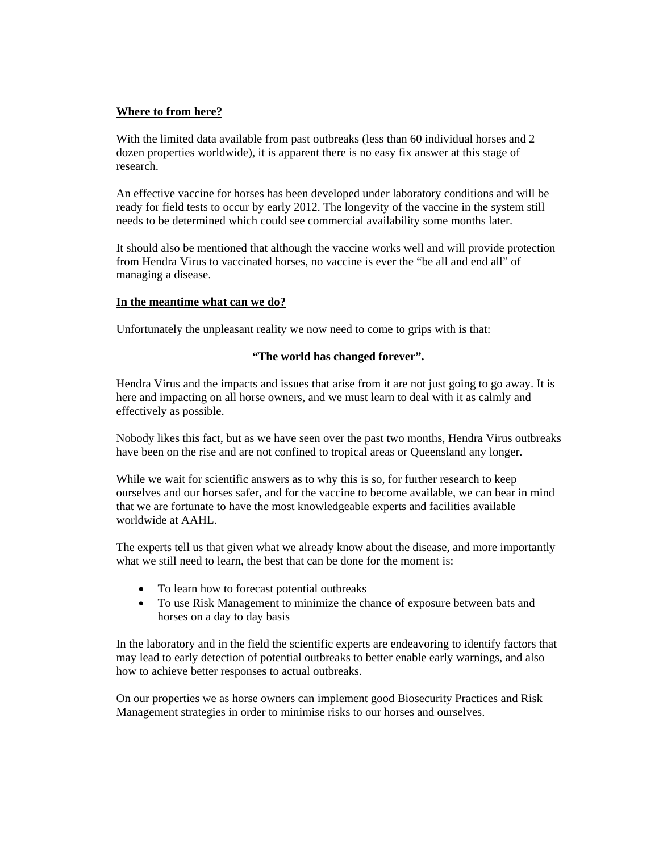### **Where to from here?**

With the limited data available from past outbreaks (less than 60 individual horses and 2 dozen properties worldwide), it is apparent there is no easy fix answer at this stage of research.

An effective vaccine for horses has been developed under laboratory conditions and will be ready for field tests to occur by early 2012. The longevity of the vaccine in the system still needs to be determined which could see commercial availability some months later.

It should also be mentioned that although the vaccine works well and will provide protection from Hendra Virus to vaccinated horses, no vaccine is ever the "be all and end all" of managing a disease.

### **In the meantime what can we do?**

Unfortunately the unpleasant reality we now need to come to grips with is that:

### **"The world has changed forever".**

Hendra Virus and the impacts and issues that arise from it are not just going to go away. It is here and impacting on all horse owners, and we must learn to deal with it as calmly and effectively as possible.

Nobody likes this fact, but as we have seen over the past two months, Hendra Virus outbreaks have been on the rise and are not confined to tropical areas or Queensland any longer.

While we wait for scientific answers as to why this is so, for further research to keep ourselves and our horses safer, and for the vaccine to become available, we can bear in mind that we are fortunate to have the most knowledgeable experts and facilities available worldwide at AAHL.

The experts tell us that given what we already know about the disease, and more importantly what we still need to learn, the best that can be done for the moment is:

- To learn how to forecast potential outbreaks
- To use Risk Management to minimize the chance of exposure between bats and horses on a day to day basis

In the laboratory and in the field the scientific experts are endeavoring to identify factors that may lead to early detection of potential outbreaks to better enable early warnings, and also how to achieve better responses to actual outbreaks.

On our properties we as horse owners can implement good Biosecurity Practices and Risk Management strategies in order to minimise risks to our horses and ourselves.